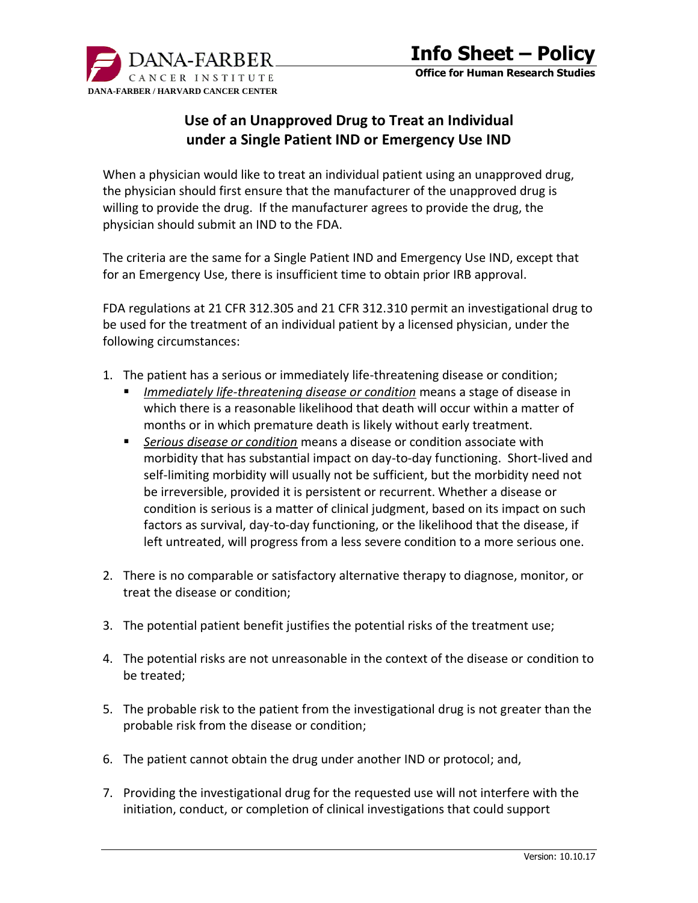

**Office for Human Research Studies**

# **Use of an Unapproved Drug to Treat an Individual under a Single Patient IND or Emergency Use IND**

When a physician would like to treat an individual patient using an unapproved drug, the physician should first ensure that the manufacturer of the unapproved drug is willing to provide the drug. If the manufacturer agrees to provide the drug, the physician should submit an IND to the FDA.

The criteria are the same for a Single Patient IND and Emergency Use IND, except that for an Emergency Use, there is insufficient time to obtain prior IRB approval.

FDA regulations at 21 CFR 312.305 and 21 CFR 312.310 permit an investigational drug to be used for the treatment of an individual patient by a licensed physician, under the following circumstances:

- 1. The patient has a serious or immediately life-threatening disease or condition;
	- *Immediately life-threatening disease or condition* means a stage of disease in which there is a reasonable likelihood that death will occur within a matter of months or in which premature death is likely without early treatment.
	- *Serious disease or condition* means a disease or condition associate with morbidity that has substantial impact on day-to-day functioning. Short-lived and self-limiting morbidity will usually not be sufficient, but the morbidity need not be irreversible, provided it is persistent or recurrent. Whether a disease or condition is serious is a matter of clinical judgment, based on its impact on such factors as survival, day-to-day functioning, or the likelihood that the disease, if left untreated, will progress from a less severe condition to a more serious one.
- 2. There is no comparable or satisfactory alternative therapy to diagnose, monitor, or treat the disease or condition;
- 3. The potential patient benefit justifies the potential risks of the treatment use;
- 4. The potential risks are not unreasonable in the context of the disease or condition to be treated;
- 5. The probable risk to the patient from the investigational drug is not greater than the probable risk from the disease or condition;
- 6. The patient cannot obtain the drug under another IND or protocol; and,
- 7. Providing the investigational drug for the requested use will not interfere with the initiation, conduct, or completion of clinical investigations that could support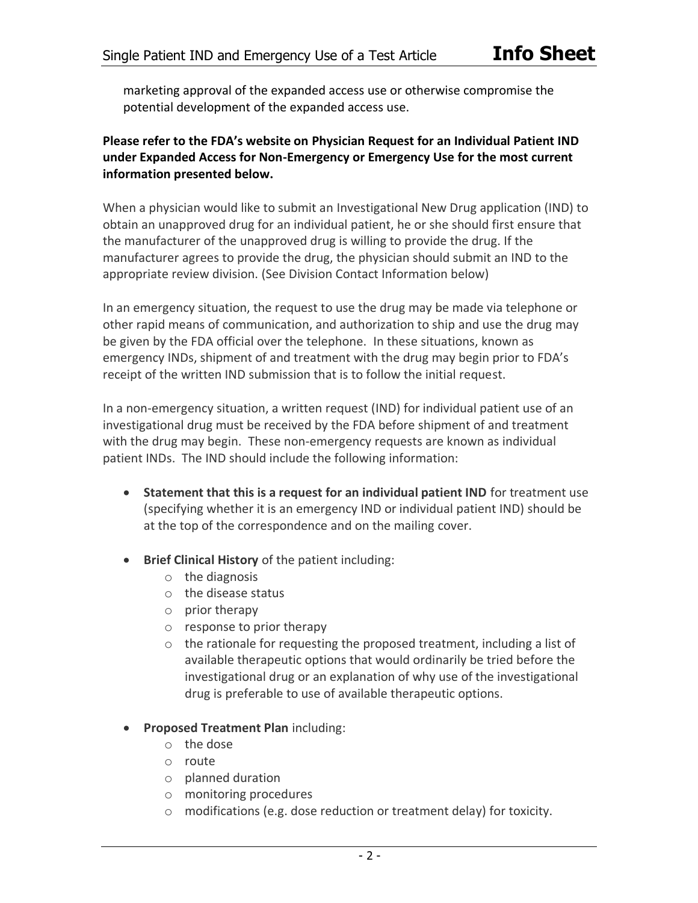marketing approval of the expanded access use or otherwise compromise the potential development of the expanded access use.

### **Please refer to the FDA's website on Physician Request for an Individual Patient IND under Expanded Access for Non-Emergency or Emergency Use for the most current information presented below.**

When a physician would like to submit an Investigational New Drug application (IND) to obtain an unapproved drug for an individual patient, he or she should first ensure that the manufacturer of the unapproved drug is willing to provide the drug. If the manufacturer agrees to provide the drug, the physician should submit an IND to the appropriate review division. (See Division Contact Information below)

In an emergency situation, the request to use the drug may be made via telephone or other rapid means of communication, and authorization to ship and use the drug may be given by the FDA official over the telephone. In these situations, known as emergency INDs, shipment of and treatment with the drug may begin prior to FDA's receipt of the written IND submission that is to follow the initial request.

In a non-emergency situation, a written request (IND) for individual patient use of an investigational drug must be received by the FDA before shipment of and treatment with the drug may begin. These non-emergency requests are known as individual patient INDs. The IND should include the following information:

- **Statement that this is a request for an individual patient IND** for treatment use (specifying whether it is an emergency IND or individual patient IND) should be at the top of the correspondence and on the mailing cover.
- **Brief Clinical History** of the patient including:
	- o the diagnosis
	- o the disease status
	- o prior therapy
	- o response to prior therapy
	- $\circ$  the rationale for requesting the proposed treatment, including a list of available therapeutic options that would ordinarily be tried before the investigational drug or an explanation of why use of the investigational drug is preferable to use of available therapeutic options.
- **Proposed Treatment Plan** including:
	- o the dose
	- o route
	- o planned duration
	- o monitoring procedures
	- modifications (e.g. dose reduction or treatment delay) for toxicity.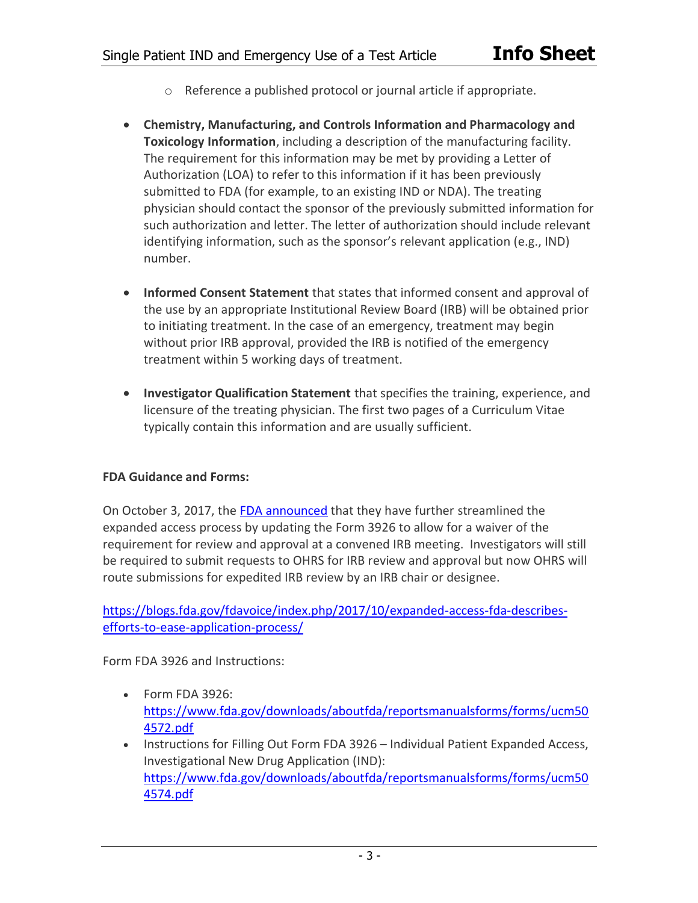- o Reference a published protocol or journal article if appropriate.
- **Chemistry, Manufacturing, and Controls Information and Pharmacology and Toxicology Information**, including a description of the manufacturing facility. The requirement for this information may be met by providing a Letter of Authorization (LOA) to refer to this information if it has been previously submitted to FDA (for example, to an existing IND or NDA). The treating physician should contact the sponsor of the previously submitted information for such authorization and letter. The letter of authorization should include relevant identifying information, such as the sponsor's relevant application (e.g., IND) number.
- **Informed Consent Statement** that states that informed consent and approval of the use by an appropriate Institutional Review Board (IRB) will be obtained prior to initiating treatment. In the case of an emergency, treatment may begin without prior IRB approval, provided the IRB is notified of the emergency treatment within 5 working days of treatment.
- **Investigator Qualification Statement** that specifies the training, experience, and licensure of the treating physician. The first two pages of a Curriculum Vitae typically contain this information and are usually sufficient.

### **FDA Guidance and Forms:**

On October 3, 2017, the FDA announced that they have further streamlined the expanded access process by updating the Form 3926 to allow for a waiver of the requirement for review and approval at a convened IRB meeting. Investigators will still be required to submit requests to OHRS for IRB review and approval but now OHRS will route submissions for expedited IRB review by an IRB chair or designee.

https://blogs.fda.gov/fdavoice/index.php/2017/10/expanded-access-fda-describesefforts-to-ease-application-process/

Form FDA 3926 and Instructions:

- Form FDA 3926: https://www.fda.gov/downloads/aboutfda/reportsmanualsforms/forms/ucm50 4572.pdf
- Instructions for Filling Out Form FDA 3926 Individual Patient Expanded Access, Investigational New Drug Application (IND): https://www.fda.gov/downloads/aboutfda/reportsmanualsforms/forms/ucm50 4574.pdf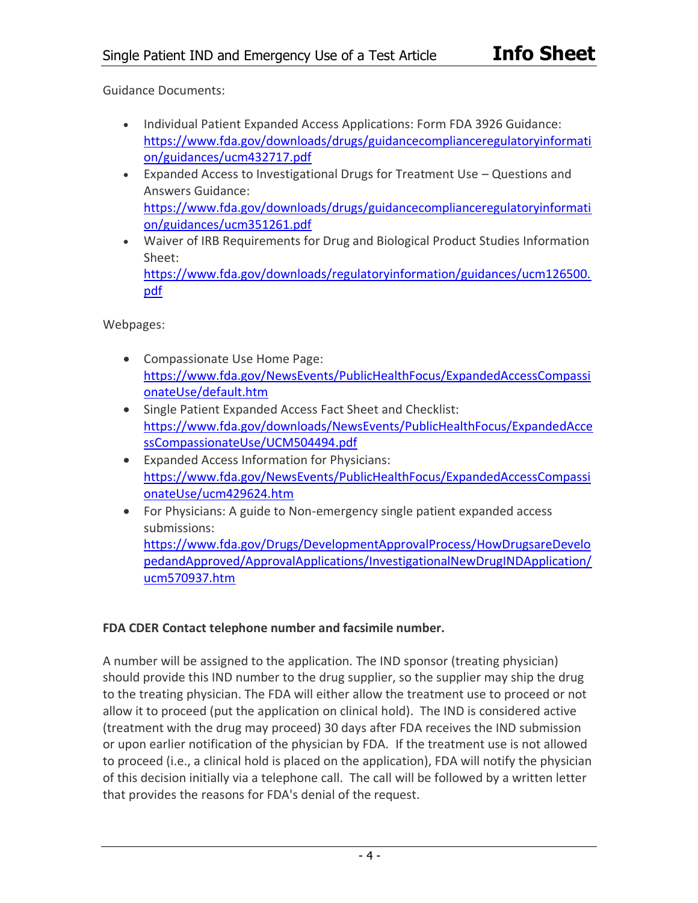Guidance Documents:

- Individual Patient Expanded Access Applications: Form FDA 3926 Guidance: https://www.fda.gov/downloads/drugs/guidancecomplianceregulatoryinformati on/guidances/ucm432717.pdf
- Expanded Access to Investigational Drugs for Treatment Use Questions and Answers Guidance: https://www.fda.gov/downloads/drugs/guidancecomplianceregulatoryinformati on/guidances/ucm351261.pdf
- Waiver of IRB Requirements for Drug and Biological Product Studies Information Sheet: https://www.fda.gov/downloads/regulatoryinformation/guidances/ucm126500. pdf

Webpages:

- Compassionate Use Home Page: https://www.fda.gov/NewsEvents/PublicHealthFocus/ExpandedAccessCompassi onateUse/default.htm
- Single Patient Expanded Access Fact Sheet and Checklist: https://www.fda.gov/downloads/NewsEvents/PublicHealthFocus/ExpandedAcce ssCompassionateUse/UCM504494.pdf
- Expanded Access Information for Physicians: https://www.fda.gov/NewsEvents/PublicHealthFocus/ExpandedAccessCompassi onateUse/ucm429624.htm
- For Physicians: A guide to Non-emergency single patient expanded access submissions:

https://www.fda.gov/Drugs/DevelopmentApprovalProcess/HowDrugsareDevelo pedandApproved/ApprovalApplications/InvestigationalNewDrugINDApplication/ ucm570937.htm

## **FDA CDER Contact telephone number and facsimile number.**

A number will be assigned to the application. The IND sponsor (treating physician) should provide this IND number to the drug supplier, so the supplier may ship the drug to the treating physician. The FDA will either allow the treatment use to proceed or not allow it to proceed (put the application on clinical hold). The IND is considered active (treatment with the drug may proceed) 30 days after FDA receives the IND submission or upon earlier notification of the physician by FDA. If the treatment use is not allowed to proceed (i.e., a clinical hold is placed on the application), FDA will notify the physician of this decision initially via a telephone call. The call will be followed by a written letter that provides the reasons for FDA's denial of the request.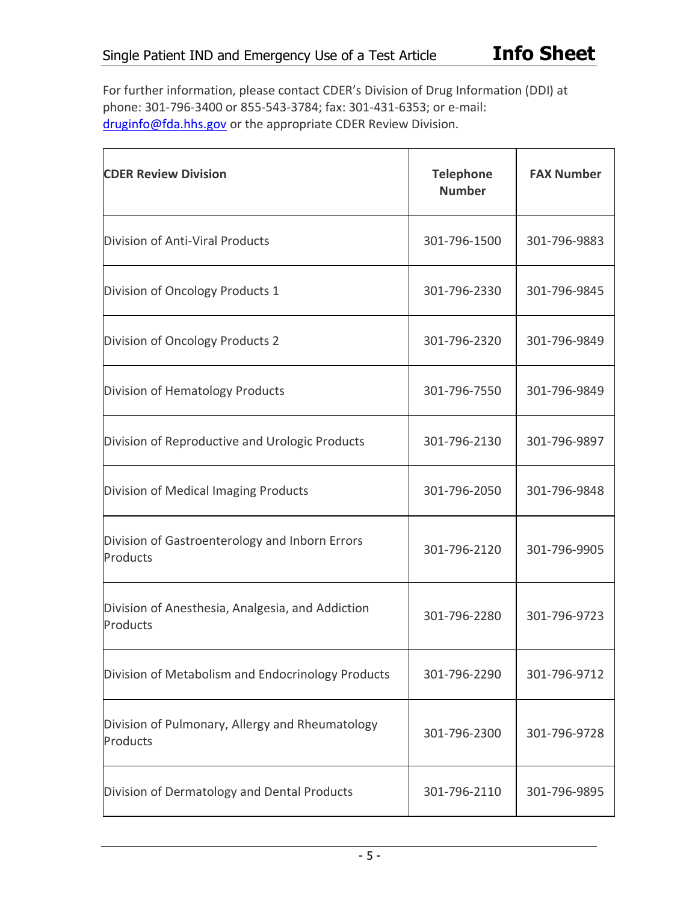For further information, please contact CDER's Division of Drug Information (DDI) at phone: 301-796-3400 or 855-543-3784; fax: 301-431-6353; or e-mail: druginfo@fda.hhs.gov or the appropriate CDER Review Division.

| <b>CDER Review Division</b>                                  | <b>Telephone</b><br><b>Number</b> | <b>FAX Number</b> |
|--------------------------------------------------------------|-----------------------------------|-------------------|
| Division of Anti-Viral Products                              | 301-796-1500                      | 301-796-9883      |
| Division of Oncology Products 1                              | 301-796-2330                      | 301-796-9845      |
| Division of Oncology Products 2                              | 301-796-2320                      | 301-796-9849      |
| Division of Hematology Products                              | 301-796-7550                      | 301-796-9849      |
| Division of Reproductive and Urologic Products               | 301-796-2130                      | 301-796-9897      |
| Division of Medical Imaging Products                         | 301-796-2050                      | 301-796-9848      |
| Division of Gastroenterology and Inborn Errors<br>Products   | 301-796-2120                      | 301-796-9905      |
| Division of Anesthesia, Analgesia, and Addiction<br>Products | 301-796-2280                      | 301-796-9723      |
| Division of Metabolism and Endocrinology Products            | 301-796-2290                      | 301-796-9712      |
| Division of Pulmonary, Allergy and Rheumatology<br>Products  | 301-796-2300                      | 301-796-9728      |
| Division of Dermatology and Dental Products                  | 301-796-2110                      | 301-796-9895      |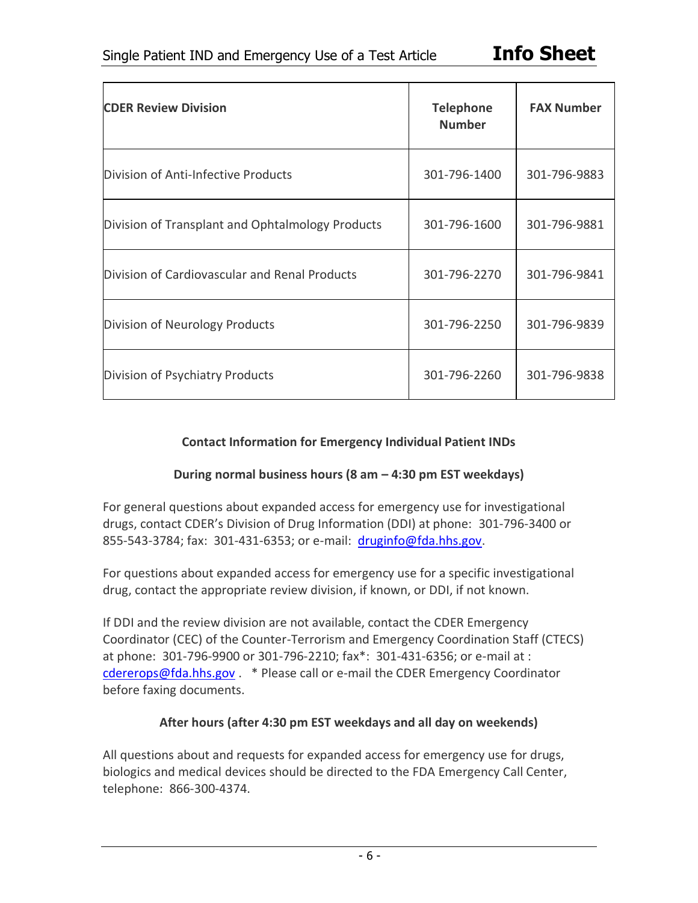| <b>CDER Review Division</b>                      | <b>Telephone</b><br><b>Number</b> | <b>FAX Number</b> |
|--------------------------------------------------|-----------------------------------|-------------------|
| Division of Anti-Infective Products              | 301-796-1400                      | 301-796-9883      |
| Division of Transplant and Ophtalmology Products | 301-796-1600                      | 301-796-9881      |
| Division of Cardiovascular and Renal Products    | 301-796-2270                      | 301-796-9841      |
| Division of Neurology Products                   | 301-796-2250                      | 301-796-9839      |
| Division of Psychiatry Products                  | 301-796-2260                      | 301-796-9838      |

## **Contact Information for Emergency Individual Patient INDs**

### **During normal business hours (8 am – 4:30 pm EST weekdays)**

For general questions about expanded access for emergency use for investigational drugs, contact CDER's Division of Drug Information (DDI) at phone: 301-796-3400 or 855-543-3784; fax: 301-431-6353; or e-mail: druginfo@fda.hhs.gov.

For questions about expanded access for emergency use for a specific investigational drug, contact the appropriate review division, if known, or DDI, if not known.

If DDI and the review division are not available, contact the CDER Emergency Coordinator (CEC) of the Counter-Terrorism and Emergency Coordination Staff (CTECS) at phone: 301-796-9900 or 301-796-2210; fax\*: 301-431-6356; or e-mail at : cdererops@fda.hhs.gov . \* Please call or e-mail the CDER Emergency Coordinator before faxing documents.

### **After hours (after 4:30 pm EST weekdays and all day on weekends)**

All questions about and requests for expanded access for emergency use for drugs, biologics and medical devices should be directed to the FDA Emergency Call Center, telephone: 866-300-4374.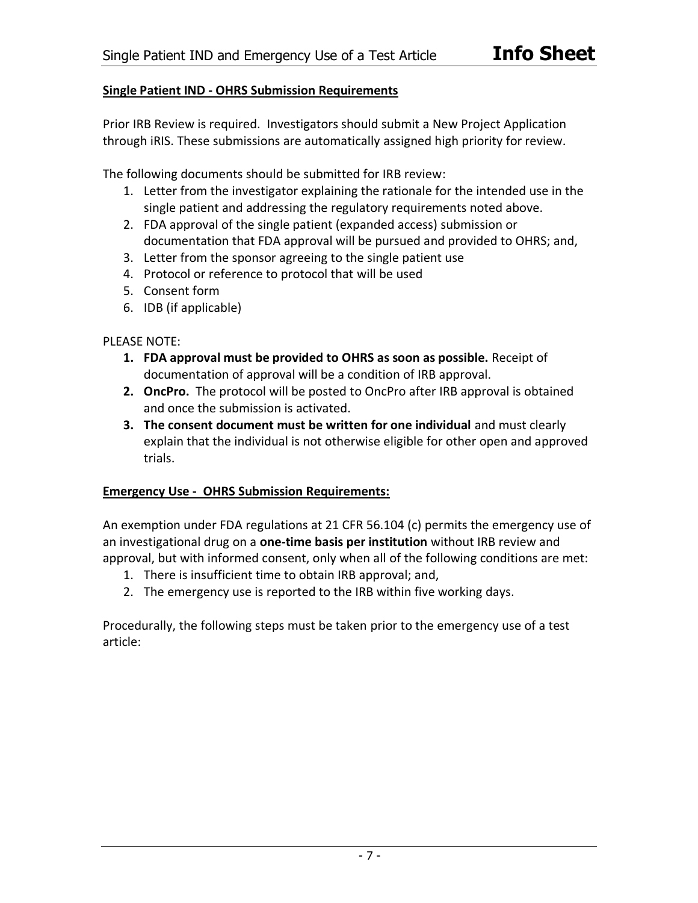### **Single Patient IND - OHRS Submission Requirements**

Prior IRB Review is required. Investigators should submit a New Project Application through iRIS. These submissions are automatically assigned high priority for review.

The following documents should be submitted for IRB review:

- 1. Letter from the investigator explaining the rationale for the intended use in the single patient and addressing the regulatory requirements noted above.
- 2. FDA approval of the single patient (expanded access) submission or documentation that FDA approval will be pursued and provided to OHRS; and,
- 3. Letter from the sponsor agreeing to the single patient use
- 4. Protocol or reference to protocol that will be used
- 5. Consent form
- 6. IDB (if applicable)

PLEASE NOTE:

- **1. FDA approval must be provided to OHRS as soon as possible.** Receipt of documentation of approval will be a condition of IRB approval.
- **2. OncPro.** The protocol will be posted to OncPro after IRB approval is obtained and once the submission is activated.
- **3. The consent document must be written for one individual** and must clearly explain that the individual is not otherwise eligible for other open and approved trials.

### **Emergency Use - OHRS Submission Requirements:**

An exemption under FDA regulations at 21 CFR 56.104 (c) permits the emergency use of an investigational drug on a **one-time basis per institution** without IRB review and approval, but with informed consent, only when all of the following conditions are met:

- 1. There is insufficient time to obtain IRB approval; and,
- 2. The emergency use is reported to the IRB within five working days.

Procedurally, the following steps must be taken prior to the emergency use of a test article: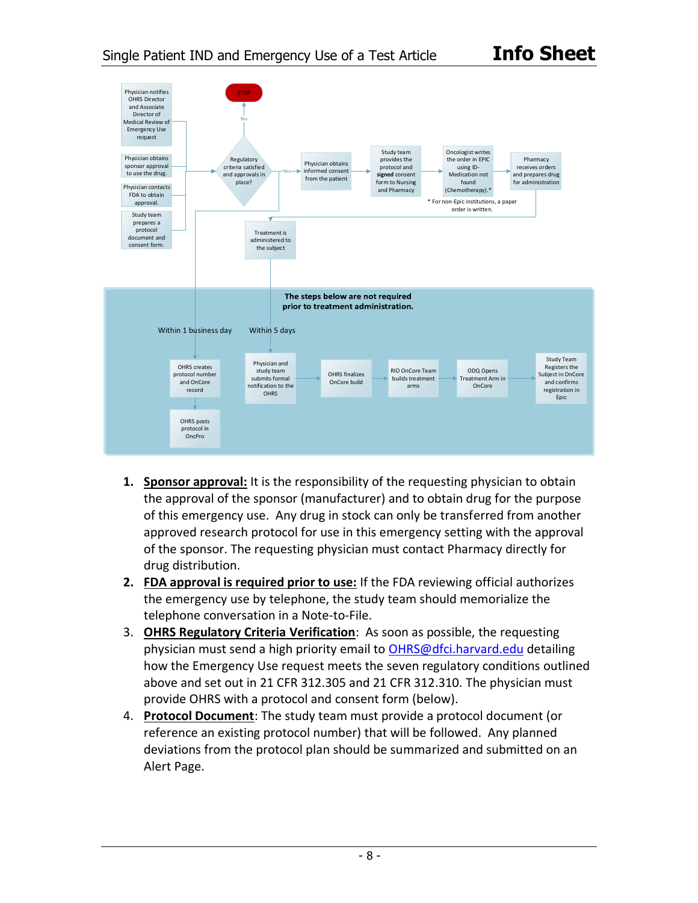

- **1. Sponsor approval:** It is the responsibility of the requesting physician to obtain the approval of the sponsor (manufacturer) and to obtain drug for the purpose of this emergency use. Any drug in stock can only be transferred from another approved research protocol for use in this emergency setting with the approval of the sponsor. The requesting physician must contact Pharmacy directly for drug distribution.
- **2. FDA approval is required prior to use:** If the FDA reviewing official authorizes the emergency use by telephone, the study team should memorialize the telephone conversation in a Note-to-File.
- 3. **OHRS Regulatory Criteria Verification**: As soon as possible, the requesting physician must send a high priority email to OHRS@dfci.harvard.edu detailing how the Emergency Use request meets the seven regulatory conditions outlined above and set out in 21 CFR 312.305 and 21 CFR 312.310. The physician must provide OHRS with a protocol and consent form (below).
- 4. **Protocol Document**: The study team must provide a protocol document (or reference an existing protocol number) that will be followed. Any planned deviations from the protocol plan should be summarized and submitted on an Alert Page.